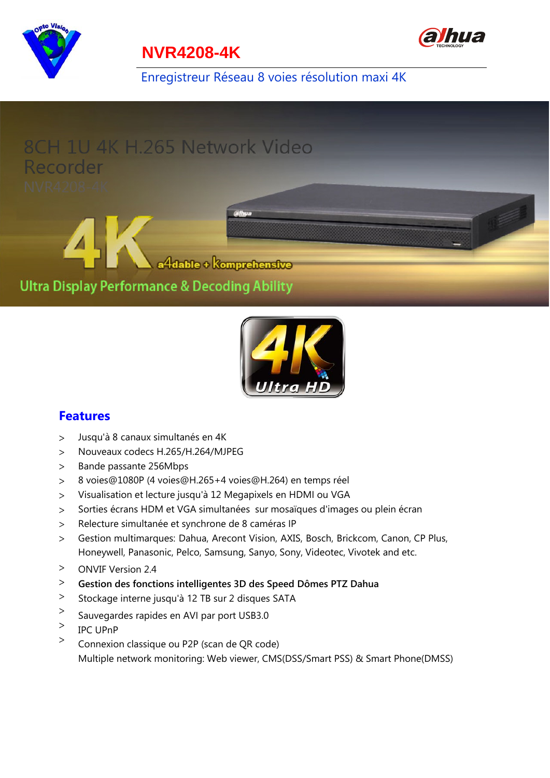

### **NVR4208-4K**

Enregistreur Réseau 8 voies résolution maxi 4K





#### **Features**

- Jusqu'à 8 canaux simultanés en 4K  $\geq$
- Nouveaux codecs H.265/H.264/MJPEG  $\geq$
- Bande passante 256Mbps  $\geq$
- $\geq$ 8 voies@1080P (4 voies@H.265+4 voies@H.264) en temps réel
- Visualisation et lecture jusqu'à 12 Megapixels en HDMI ou VGA  $\geq$
- Sorties écrans HDM et VGA simultanées sur mosaïques d'images ou plein écran  $\geq$
- Relecture simultanée et synchrone de 8 caméras IP  $\geq$
- Gestion multimarques: Dahua, Arecont Vision, AXIS, Bosch, Brickcom, Canon, CP Plus,  $\rm{>}$ Honeywell, Panasonic, Pelco, Samsung, Sanyo, Sony, Videotec, Vivotek and etc.
- $\,>$ ONVIF Version 2.4
- $\geq$ **Gestion des fonctions intelligentes 3D des Speed Dômes PTZ Dahua**
- $\,>$ Stockage interne jusqu'à 12 TB sur 2 disques SATA
- $\geq$ Sauvegardes rapides en AVI par port USB3.0
- $\,>$ IPC UPnP
- $\geq$ Connexion classique ou P2P (scan de QR code) Multiple network monitoring: Web viewer, CMS(DSS/Smart PSS) & Smart Phone(DMSS)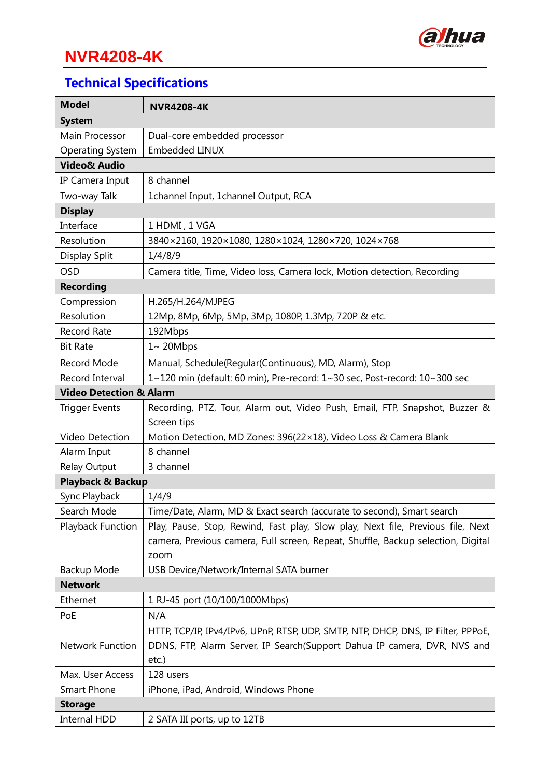

# **NVR4208-4K**

# **Technical Specifications**

| <b>Model</b>                       | <b>NVR4208-4K</b>                                                                 |
|------------------------------------|-----------------------------------------------------------------------------------|
| <b>System</b>                      |                                                                                   |
| Main Processor                     | Dual-core embedded processor                                                      |
| <b>Operating System</b>            | Embedded LINUX                                                                    |
| <b>Video&amp; Audio</b>            |                                                                                   |
| IP Camera Input                    | 8 channel                                                                         |
| Two-way Talk                       | 1channel Input, 1channel Output, RCA                                              |
| <b>Display</b>                     |                                                                                   |
| Interface                          | 1 HDMI, 1 VGA                                                                     |
| Resolution                         | 3840 × 2160, 1920 × 1080, 1280 × 1024, 1280 × 720, 1024 × 768                     |
| Display Split                      | 1/4/8/9                                                                           |
| <b>OSD</b>                         | Camera title, Time, Video loss, Camera lock, Motion detection, Recording          |
| <b>Recording</b>                   |                                                                                   |
| Compression                        | H.265/H.264/MJPEG                                                                 |
| Resolution                         | 12Mp, 8Mp, 6Mp, 5Mp, 3Mp, 1080P, 1.3Mp, 720P & etc.                               |
| Record Rate                        | 192Mbps                                                                           |
| <b>Bit Rate</b>                    | $1 - 20$ Mbps                                                                     |
| Record Mode                        | Manual, Schedule(Regular(Continuous), MD, Alarm), Stop                            |
| Record Interval                    | 1~120 min (default: 60 min), Pre-record: 1~30 sec, Post-record: 10~300 sec        |
| <b>Video Detection &amp; Alarm</b> |                                                                                   |
| <b>Trigger Events</b>              | Recording, PTZ, Tour, Alarm out, Video Push, Email, FTP, Snapshot, Buzzer &       |
|                                    | Screen tips                                                                       |
| <b>Video Detection</b>             | Motion Detection, MD Zones: 396(22×18), Video Loss & Camera Blank                 |
| Alarm Input                        | 8 channel                                                                         |
| Relay Output                       | 3 channel                                                                         |
| Playback & Backup                  |                                                                                   |
| Sync Playback                      | 1/4/9                                                                             |
| Search Mode                        | Time/Date, Alarm, MD & Exact search (accurate to second), Smart search            |
| Playback Function                  | Play, Pause, Stop, Rewind, Fast play, Slow play, Next file, Previous file, Next   |
|                                    | camera, Previous camera, Full screen, Repeat, Shuffle, Backup selection, Digital  |
|                                    | zoom                                                                              |
| Backup Mode                        | USB Device/Network/Internal SATA burner                                           |
| <b>Network</b>                     |                                                                                   |
| Ethernet                           | 1 RJ-45 port (10/100/1000Mbps)                                                    |
| PoE                                | N/A                                                                               |
|                                    | HTTP, TCP/IP, IPv4/IPv6, UPnP, RTSP, UDP, SMTP, NTP, DHCP, DNS, IP Filter, PPPoE, |
| <b>Network Function</b>            | DDNS, FTP, Alarm Server, IP Search(Support Dahua IP camera, DVR, NVS and          |
|                                    | etc.)                                                                             |
| Max. User Access                   | 128 users                                                                         |
| Smart Phone                        | iPhone, iPad, Android, Windows Phone                                              |
| <b>Storage</b>                     |                                                                                   |
| <b>Internal HDD</b>                | 2 SATA III ports, up to 12TB                                                      |